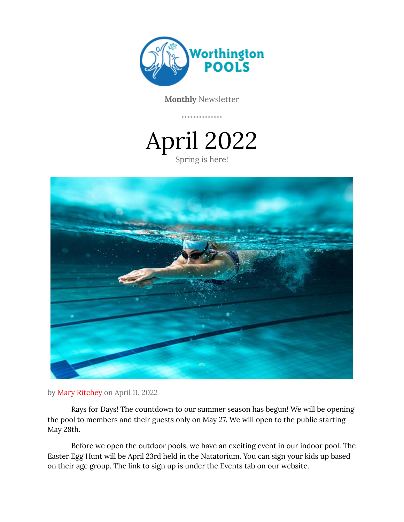

**Monthly** Newsletter

April 2022 Spring is here!



by Mary Ritchey on April 11, 2022

Rays for Days! The countdown to our summer season has begun! We will be opening the pool to members and their guests only on May 27. We will open to the public starting May 28th.

Before we open the outdoor pools, we have an exciting event in our indoor pool. The Easter Egg Hunt will be April 23rd held in the Natatorium. You can sign your kids up based on their age group. The link to sign up is under the Events tab on our website.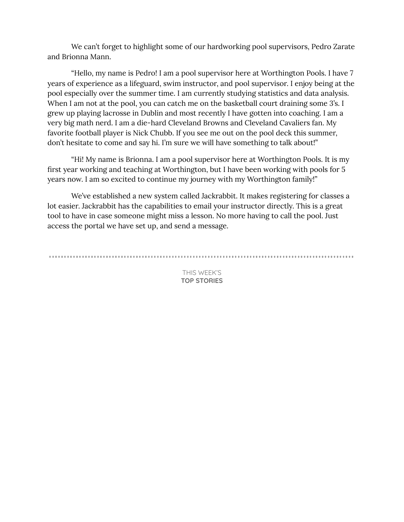We can't forget to highlight some of our hardworking pool supervisors, Pedro Zarate and Brionna Mann.

"Hello, my name is Pedro! I am a pool supervisor here at Worthington Pools. I have 7 years of experience as a lifeguard, swim instructor, and pool supervisor. I enjoy being at the pool especially over the summer time. I am currently studying statistics and data analysis. When I am not at the pool, you can catch me on the basketball court draining some 3's. I grew up playing lacrosse in Dublin and most recently I have gotten into coaching. I am a very big math nerd. I am a die-hard Cleveland Browns and Cleveland Cavaliers fan. My favorite football player is Nick Chubb. If you see me out on the pool deck this summer, don't hesitate to come and say hi. I'm sure we will have something to talk about!"

"Hi! My name is Brionna. I am a pool supervisor here at Worthington Pools. It is my first year working and teaching at Worthington, but I have been working with pools for 5 years now. I am so excited to continue my journey with my Worthington family!"

We've established a new system called Jackrabbit. It makes registering for classes a lot easier. Jackrabbit has the capabilities to email your instructor directly. This is a great tool to have in case someone might miss a lesson. No more having to call the pool. Just access the portal we have set up, and send a message.

THIS WEEK'S **TOP STORIES**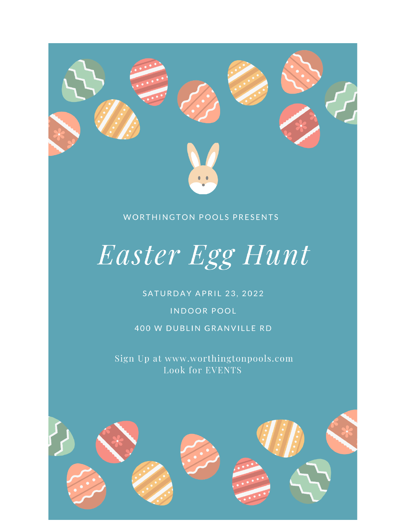

#### **WORTHINGTON POOLS PRESENTS**

# Easter Egg Hunt

#### SATURDAY APRIL 23, 2022

#### **INDOOR POOL**

400 W DUBLIN GRANVILLE RD

Sign Up at www.worthingtonpools.com **Look for EVENTS** 

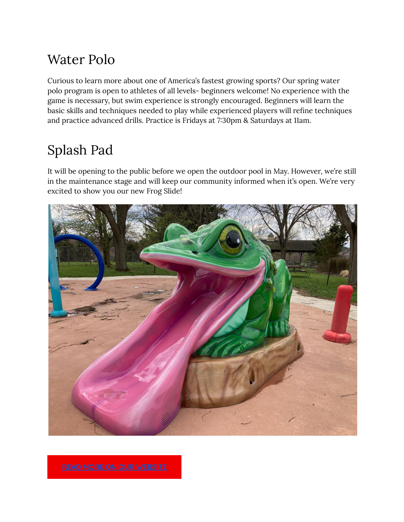### Water Polo

Curious to learn more about one of America's fastest growing sports? Our spring water polo program is open to athletes of all levels- beginners welcome! No experience with the game is necessary, but swim experience is strongly encouraged. Beginners will learn the basic skills and techniques needed to play while experienced players will refine techniques and practice advanced drills. Practice is Fridays at 7:30pm & Saturdays at 11am.

## Splash Pad

It will be opening to the public before we open the outdoor pool in May. However, we're still in the maintenance stage and will keep our community informed when it's open. We're very excited to show you our new Frog Slide!